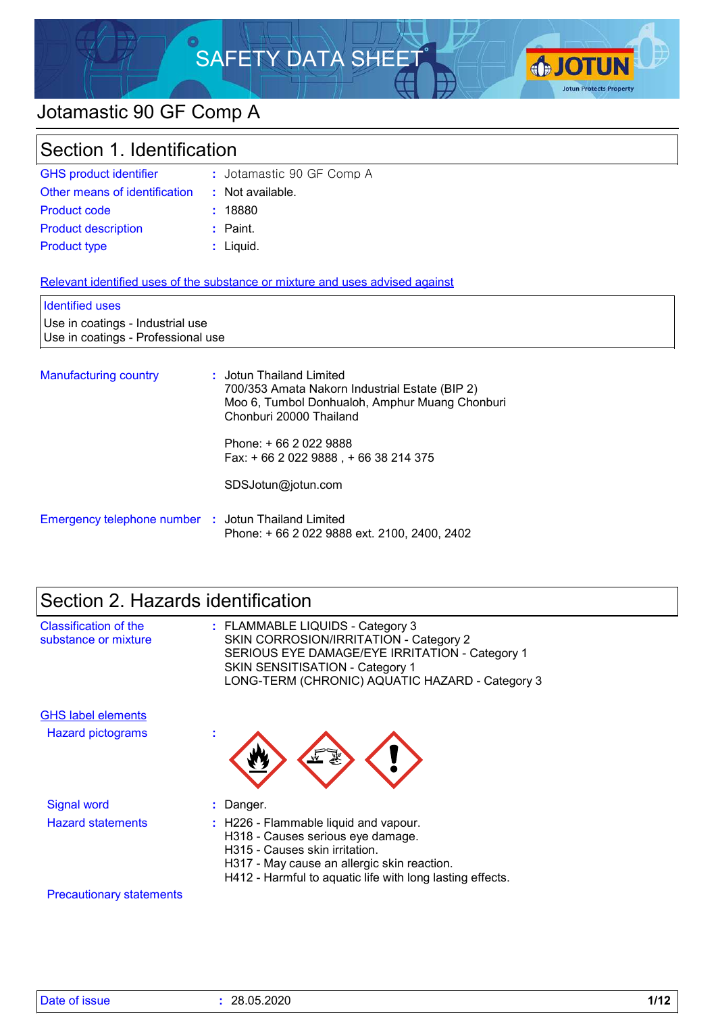# SAFETY DATA SHEET



# Jotamastic 90 GF Comp A

| Section 1. Identification                                              |                                                                               |  |
|------------------------------------------------------------------------|-------------------------------------------------------------------------------|--|
| <b>GHS product identifier</b>                                          | : Jotamastic 90 GF Comp A                                                     |  |
| Other means of identification                                          | : Not available.                                                              |  |
| <b>Product code</b>                                                    | : 18880                                                                       |  |
| <b>Product description</b>                                             | $:$ Paint.                                                                    |  |
| <b>Product type</b>                                                    | : Liquid.                                                                     |  |
| <b>Identified uses</b>                                                 | Relevant identified uses of the substance or mixture and uses advised against |  |
| Use in coatings - Industrial use<br>Use in coatings - Professional use |                                                                               |  |
| <b>Manufacturing country</b>                                           | : Jotun Thailand Limited<br>700/353 Amata Nakorn Industrial Estate (BIP 2)    |  |

|                                                     | 700/353 Amata Nakorn Industrial Estate (BIP 2)<br>Moo 6, Tumbol Donhualoh, Amphur Muang Chonburi<br>Chonburi 20000 Thailand |
|-----------------------------------------------------|-----------------------------------------------------------------------------------------------------------------------------|
|                                                     | Phone: + 66 2 022 9888<br>Fax: +66 2 022 9888, +66 38 214 375                                                               |
|                                                     | SDSJotun@jotun.com                                                                                                          |
| Emergency telephone number : Jotun Thailand Limited | Phone: +66 2 022 9888 ext. 2100, 2400, 2402                                                                                 |

| Section 2. Hazards identification             |                                                                                                                                                                                                                          |  |
|-----------------------------------------------|--------------------------------------------------------------------------------------------------------------------------------------------------------------------------------------------------------------------------|--|
| Classification of the<br>substance or mixture | : FLAMMABLE LIQUIDS - Category 3<br>SKIN CORROSION/IRRITATION - Category 2<br>SERIOUS EYE DAMAGE/EYE IRRITATION - Category 1<br>SKIN SENSITISATION - Category 1<br>LONG-TERM (CHRONIC) AQUATIC HAZARD - Category 3       |  |
| <b>GHS label elements</b>                     |                                                                                                                                                                                                                          |  |
| Hazard pictograms                             |                                                                                                                                                                                                                          |  |
| <b>Signal word</b>                            | : Danger.                                                                                                                                                                                                                |  |
| <b>Hazard statements</b>                      | : H226 - Flammable liquid and vapour.<br>H318 - Causes serious eye damage.<br>H315 - Causes skin irritation.<br>H317 - May cause an allergic skin reaction.<br>H412 - Harmful to aquatic life with long lasting effects. |  |
| <b>Precautionary statements</b>               |                                                                                                                                                                                                                          |  |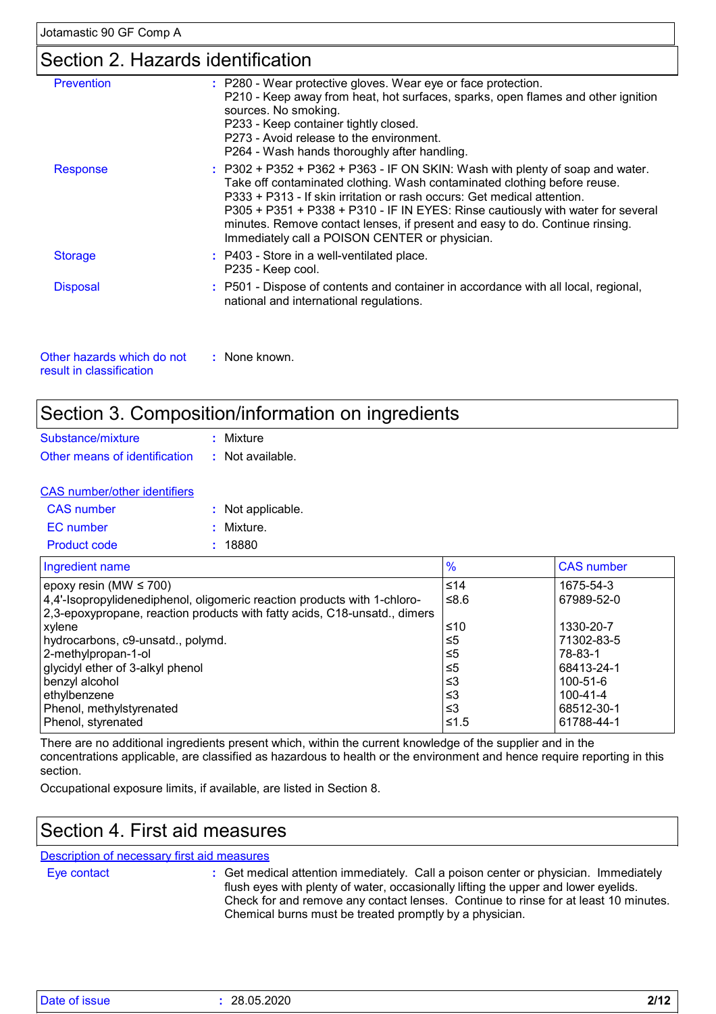### Section 2. Hazards identification

| : P280 - Wear protective gloves. Wear eye or face protection.<br>P210 - Keep away from heat, hot surfaces, sparks, open flames and other ignition<br>sources. No smoking.<br>P233 - Keep container tightly closed.<br>P273 - Avoid release to the environment.<br>P264 - Wash hands thoroughly after handling.                                                                                                                                              |
|-------------------------------------------------------------------------------------------------------------------------------------------------------------------------------------------------------------------------------------------------------------------------------------------------------------------------------------------------------------------------------------------------------------------------------------------------------------|
| $:$ P302 + P352 + P362 + P363 - IF ON SKIN: Wash with plenty of soap and water.<br>Take off contaminated clothing. Wash contaminated clothing before reuse.<br>P333 + P313 - If skin irritation or rash occurs: Get medical attention.<br>P305 + P351 + P338 + P310 - IF IN EYES: Rinse cautiously with water for several<br>minutes. Remove contact lenses, if present and easy to do. Continue rinsing.<br>Immediately call a POISON CENTER or physician. |
| : P403 - Store in a well-ventilated place.<br>P235 - Keep cool.                                                                                                                                                                                                                                                                                                                                                                                             |
| : P501 - Dispose of contents and container in accordance with all local, regional,<br>national and international regulations.                                                                                                                                                                                                                                                                                                                               |
|                                                                                                                                                                                                                                                                                                                                                                                                                                                             |

| Other hazards which do not | : None known. |
|----------------------------|---------------|
| result in classification.  |               |

### Section 3. Composition/information on ingredients

| Substance/mixture             |  | : Mixture        |
|-------------------------------|--|------------------|
| Other means of identification |  | : Not available. |

|  | <b>CAS</b> number/other identifiers |  |
|--|-------------------------------------|--|
|  |                                     |  |

| CAS number          | : Not applicable. |
|---------------------|-------------------|
| EC number           | : Mixture.        |
| <b>Product code</b> | : 18880           |

| Ingredient name                                                           | $\frac{9}{6}$ | <b>CAS number</b> |
|---------------------------------------------------------------------------|---------------|-------------------|
| epoxy resin (MW $\leq$ 700)                                               | $≤14$         | 1675-54-3         |
| 4,4'-Isopropylidenediphenol, oligomeric reaction products with 1-chloro-  | ≤8.6          | 67989-52-0        |
| 2,3-epoxypropane, reaction products with fatty acids, C18-unsatd., dimers |               |                   |
| xylene                                                                    | ≤10           | 1330-20-7         |
| hydrocarbons, c9-unsatd., polymd.                                         | $\leq 5$      | 71302-83-5        |
| 2-methylpropan-1-ol                                                       | $\leq 5$      | 78-83-1           |
| glycidyl ether of 3-alkyl phenol                                          | ≤5            | 68413-24-1        |
| benzyl alcohol                                                            | ≤3            | 100-51-6          |
| ethylbenzene                                                              | ≤3            | $100 - 41 - 4$    |
| Phenol, methylstyrenated                                                  | ≤3            | 68512-30-1        |
| Phenol, styrenated                                                        | ≤1.5          | 61788-44-1        |

There are no additional ingredients present which, within the current knowledge of the supplier and in the concentrations applicable, are classified as hazardous to health or the environment and hence require reporting in this section.

Occupational exposure limits, if available, are listed in Section 8.

### Section 4. First aid measures

Description of necessary first aid measures

Eye contact **:**

Get medical attention immediately. Call a poison center or physician. Immediately flush eyes with plenty of water, occasionally lifting the upper and lower eyelids. Check for and remove any contact lenses. Continue to rinse for at least 10 minutes. Chemical burns must be treated promptly by a physician.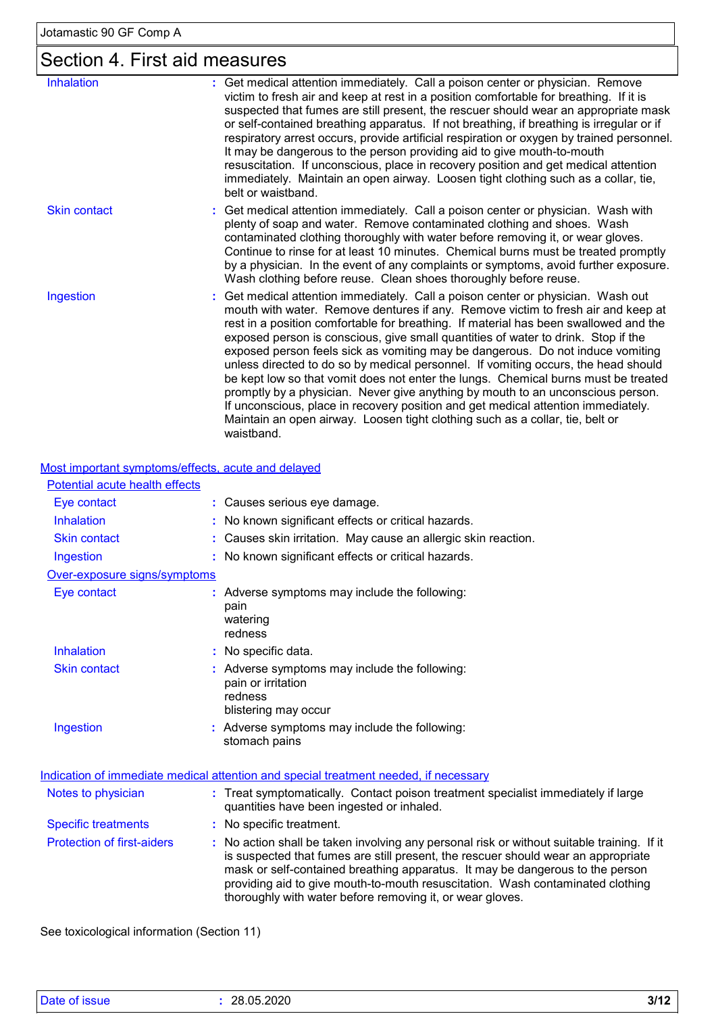# Section 4. First aid measures

| <b>Inhalation</b>   | Get medical attention immediately. Call a poison center or physician. Remove<br>victim to fresh air and keep at rest in a position comfortable for breathing. If it is<br>suspected that fumes are still present, the rescuer should wear an appropriate mask<br>or self-contained breathing apparatus. If not breathing, if breathing is irregular or if<br>respiratory arrest occurs, provide artificial respiration or oxygen by trained personnel.<br>It may be dangerous to the person providing aid to give mouth-to-mouth<br>resuscitation. If unconscious, place in recovery position and get medical attention<br>immediately. Maintain an open airway. Loosen tight clothing such as a collar, tie,<br>belt or waistband.                                                                                                                                                    |
|---------------------|----------------------------------------------------------------------------------------------------------------------------------------------------------------------------------------------------------------------------------------------------------------------------------------------------------------------------------------------------------------------------------------------------------------------------------------------------------------------------------------------------------------------------------------------------------------------------------------------------------------------------------------------------------------------------------------------------------------------------------------------------------------------------------------------------------------------------------------------------------------------------------------|
| <b>Skin contact</b> | : Get medical attention immediately. Call a poison center or physician. Wash with<br>plenty of soap and water. Remove contaminated clothing and shoes. Wash<br>contaminated clothing thoroughly with water before removing it, or wear gloves.<br>Continue to rinse for at least 10 minutes. Chemical burns must be treated promptly<br>by a physician. In the event of any complaints or symptoms, avoid further exposure.<br>Wash clothing before reuse. Clean shoes thoroughly before reuse.                                                                                                                                                                                                                                                                                                                                                                                        |
| Ingestion           | : Get medical attention immediately. Call a poison center or physician. Wash out<br>mouth with water. Remove dentures if any. Remove victim to fresh air and keep at<br>rest in a position comfortable for breathing. If material has been swallowed and the<br>exposed person is conscious, give small quantities of water to drink. Stop if the<br>exposed person feels sick as vomiting may be dangerous. Do not induce vomiting<br>unless directed to do so by medical personnel. If vomiting occurs, the head should<br>be kept low so that vomit does not enter the lungs. Chemical burns must be treated<br>promptly by a physician. Never give anything by mouth to an unconscious person.<br>If unconscious, place in recovery position and get medical attention immediately.<br>Maintain an open airway. Loosen tight clothing such as a collar, tie, belt or<br>waistband. |

#### Most important symptoms/effects, acute and delayed

| Potential acute health effects    |                                                                                                                                                                                                                                                                                                                                                                                                               |
|-----------------------------------|---------------------------------------------------------------------------------------------------------------------------------------------------------------------------------------------------------------------------------------------------------------------------------------------------------------------------------------------------------------------------------------------------------------|
| Eye contact                       | : Causes serious eye damage.                                                                                                                                                                                                                                                                                                                                                                                  |
| <b>Inhalation</b>                 | No known significant effects or critical hazards.                                                                                                                                                                                                                                                                                                                                                             |
| <b>Skin contact</b>               | : Causes skin irritation. May cause an allergic skin reaction.                                                                                                                                                                                                                                                                                                                                                |
| Ingestion                         | : No known significant effects or critical hazards.                                                                                                                                                                                                                                                                                                                                                           |
| Over-exposure signs/symptoms      |                                                                                                                                                                                                                                                                                                                                                                                                               |
| Eye contact                       | : Adverse symptoms may include the following:<br>pain<br>watering<br>redness                                                                                                                                                                                                                                                                                                                                  |
| Inhalation                        | No specific data.                                                                                                                                                                                                                                                                                                                                                                                             |
| <b>Skin contact</b>               | : Adverse symptoms may include the following:<br>pain or irritation<br>redness<br>blistering may occur                                                                                                                                                                                                                                                                                                        |
| Ingestion                         | Adverse symptoms may include the following:<br>stomach pains                                                                                                                                                                                                                                                                                                                                                  |
|                                   | Indication of immediate medical attention and special treatment needed, if necessary                                                                                                                                                                                                                                                                                                                          |
| Notes to physician                | : Treat symptomatically. Contact poison treatment specialist immediately if large<br>quantities have been ingested or inhaled.                                                                                                                                                                                                                                                                                |
| <b>Specific treatments</b>        | : No specific treatment.                                                                                                                                                                                                                                                                                                                                                                                      |
| <b>Protection of first-aiders</b> | No action shall be taken involving any personal risk or without suitable training. If it<br>is suspected that fumes are still present, the rescuer should wear an appropriate<br>mask or self-contained breathing apparatus. It may be dangerous to the person<br>providing aid to give mouth-to-mouth resuscitation. Wash contaminated clothing<br>thoroughly with water before removing it, or wear gloves. |

See toxicological information (Section 11)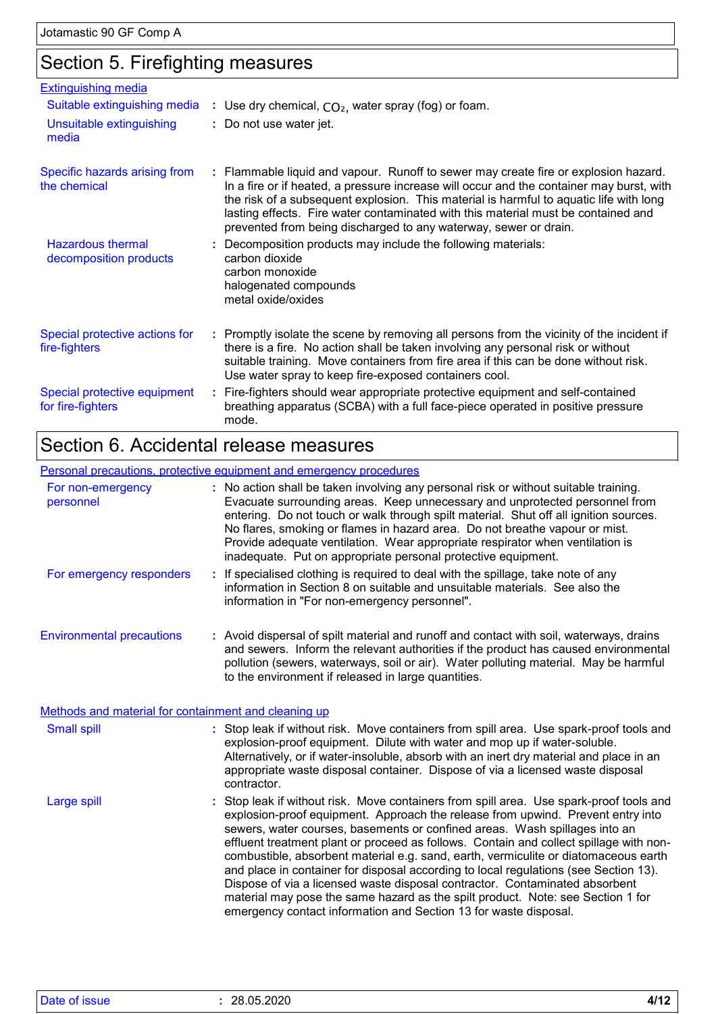# Section 5. Firefighting measures

| <b>Extinguishing media</b>                         |                                                                                                                                                                                                                                                                                                                                                                                                                                    |
|----------------------------------------------------|------------------------------------------------------------------------------------------------------------------------------------------------------------------------------------------------------------------------------------------------------------------------------------------------------------------------------------------------------------------------------------------------------------------------------------|
| Suitable extinguishing media                       | : Use dry chemical, $CO2$ , water spray (fog) or foam.                                                                                                                                                                                                                                                                                                                                                                             |
| Unsuitable extinguishing<br>media                  | : Do not use water jet.                                                                                                                                                                                                                                                                                                                                                                                                            |
| Specific hazards arising from<br>the chemical      | : Flammable liquid and vapour. Runoff to sewer may create fire or explosion hazard.<br>In a fire or if heated, a pressure increase will occur and the container may burst, with<br>the risk of a subsequent explosion. This material is harmful to aquatic life with long<br>lasting effects. Fire water contaminated with this material must be contained and<br>prevented from being discharged to any waterway, sewer or drain. |
| <b>Hazardous thermal</b><br>decomposition products | : Decomposition products may include the following materials:<br>carbon dioxide<br>carbon monoxide<br>halogenated compounds<br>metal oxide/oxides                                                                                                                                                                                                                                                                                  |
| Special protective actions for<br>fire-fighters    | : Promptly isolate the scene by removing all persons from the vicinity of the incident if<br>there is a fire. No action shall be taken involving any personal risk or without<br>suitable training. Move containers from fire area if this can be done without risk.<br>Use water spray to keep fire-exposed containers cool.                                                                                                      |
| Special protective equipment<br>for fire-fighters  | : Fire-fighters should wear appropriate protective equipment and self-contained<br>breathing apparatus (SCBA) with a full face-piece operated in positive pressure<br>mode.                                                                                                                                                                                                                                                        |

# Section 6. Accidental release measures

#### Personal precautions, protective equipment and emergency procedures

| For non-emergency<br>personnel                       | : No action shall be taken involving any personal risk or without suitable training.<br>Evacuate surrounding areas. Keep unnecessary and unprotected personnel from<br>entering. Do not touch or walk through spilt material. Shut off all ignition sources.<br>No flares, smoking or flames in hazard area. Do not breathe vapour or mist.<br>Provide adequate ventilation. Wear appropriate respirator when ventilation is<br>inadequate. Put on appropriate personal protective equipment.                                                                                                                                                                                                                                                                           |
|------------------------------------------------------|-------------------------------------------------------------------------------------------------------------------------------------------------------------------------------------------------------------------------------------------------------------------------------------------------------------------------------------------------------------------------------------------------------------------------------------------------------------------------------------------------------------------------------------------------------------------------------------------------------------------------------------------------------------------------------------------------------------------------------------------------------------------------|
| For emergency responders                             | : If specialised clothing is required to deal with the spillage, take note of any<br>information in Section 8 on suitable and unsuitable materials. See also the<br>information in "For non-emergency personnel".                                                                                                                                                                                                                                                                                                                                                                                                                                                                                                                                                       |
| <b>Environmental precautions</b>                     | : Avoid dispersal of spilt material and runoff and contact with soil, waterways, drains<br>and sewers. Inform the relevant authorities if the product has caused environmental<br>pollution (sewers, waterways, soil or air). Water polluting material. May be harmful<br>to the environment if released in large quantities.                                                                                                                                                                                                                                                                                                                                                                                                                                           |
| Methods and material for containment and cleaning up |                                                                                                                                                                                                                                                                                                                                                                                                                                                                                                                                                                                                                                                                                                                                                                         |
| <b>Small spill</b>                                   | : Stop leak if without risk. Move containers from spill area. Use spark-proof tools and<br>explosion-proof equipment. Dilute with water and mop up if water-soluble.<br>Alternatively, or if water-insoluble, absorb with an inert dry material and place in an<br>appropriate waste disposal container. Dispose of via a licensed waste disposal<br>contractor.                                                                                                                                                                                                                                                                                                                                                                                                        |
| Large spill                                          | : Stop leak if without risk. Move containers from spill area. Use spark-proof tools and<br>explosion-proof equipment. Approach the release from upwind. Prevent entry into<br>sewers, water courses, basements or confined areas. Wash spillages into an<br>effluent treatment plant or proceed as follows. Contain and collect spillage with non-<br>combustible, absorbent material e.g. sand, earth, vermiculite or diatomaceous earth<br>and place in container for disposal according to local regulations (see Section 13).<br>Dispose of via a licensed waste disposal contractor. Contaminated absorbent<br>material may pose the same hazard as the spilt product. Note: see Section 1 for<br>emergency contact information and Section 13 for waste disposal. |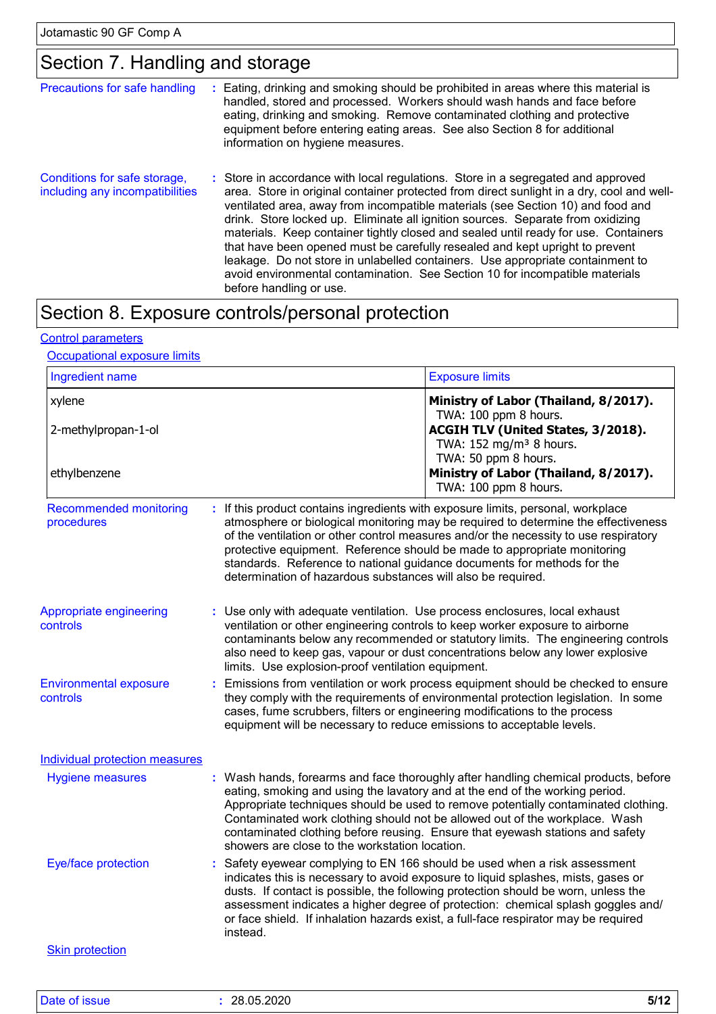### Section 7. Handling and storage

| Precautions for safe handling                                   | ÷ | Eating, drinking and smoking should be prohibited in areas where this material is<br>handled, stored and processed. Workers should wash hands and face before<br>eating, drinking and smoking. Remove contaminated clothing and protective<br>equipment before entering eating areas. See also Section 8 for additional<br>information on hygiene measures.                                                                                                                                                                                                                                                                                                                                                             |
|-----------------------------------------------------------------|---|-------------------------------------------------------------------------------------------------------------------------------------------------------------------------------------------------------------------------------------------------------------------------------------------------------------------------------------------------------------------------------------------------------------------------------------------------------------------------------------------------------------------------------------------------------------------------------------------------------------------------------------------------------------------------------------------------------------------------|
| Conditions for safe storage,<br>including any incompatibilities |   | : Store in accordance with local regulations. Store in a segregated and approved<br>area. Store in original container protected from direct sunlight in a dry, cool and well-<br>ventilated area, away from incompatible materials (see Section 10) and food and<br>drink. Store locked up. Eliminate all ignition sources. Separate from oxidizing<br>materials. Keep container tightly closed and sealed until ready for use. Containers<br>that have been opened must be carefully resealed and kept upright to prevent<br>leakage. Do not store in unlabelled containers. Use appropriate containment to<br>avoid environmental contamination. See Section 10 for incompatible materials<br>before handling or use. |

# Section 8. Exposure controls/personal protection

#### Control parameters

#### **Occupational exposure limits**

| Ingredient name                             |                                                              | <b>Exposure limits</b>                                                                                                                                                                                                                                                                                                                                                                                                           |
|---------------------------------------------|--------------------------------------------------------------|----------------------------------------------------------------------------------------------------------------------------------------------------------------------------------------------------------------------------------------------------------------------------------------------------------------------------------------------------------------------------------------------------------------------------------|
| xylene<br>2-methylpropan-1-ol               |                                                              | Ministry of Labor (Thailand, 8/2017).<br>TWA: 100 ppm 8 hours.<br>ACGIH TLV (United States, 3/2018).<br>TWA: 152 mg/m <sup>3</sup> 8 hours.                                                                                                                                                                                                                                                                                      |
| ethylbenzene                                |                                                              | TWA: 50 ppm 8 hours.<br>Ministry of Labor (Thailand, 8/2017).<br>TWA: 100 ppm 8 hours.                                                                                                                                                                                                                                                                                                                                           |
| <b>Recommended monitoring</b><br>procedures | determination of hazardous substances will also be required. | : If this product contains ingredients with exposure limits, personal, workplace<br>atmosphere or biological monitoring may be required to determine the effectiveness<br>of the ventilation or other control measures and/or the necessity to use respiratory<br>protective equipment. Reference should be made to appropriate monitoring<br>standards. Reference to national guidance documents for methods for the            |
| Appropriate engineering<br>controls         | limits. Use explosion-proof ventilation equipment.           | : Use only with adequate ventilation. Use process enclosures, local exhaust<br>ventilation or other engineering controls to keep worker exposure to airborne<br>contaminants below any recommended or statutory limits. The engineering controls<br>also need to keep gas, vapour or dust concentrations below any lower explosive                                                                                               |
| <b>Environmental exposure</b><br>controls   |                                                              | Emissions from ventilation or work process equipment should be checked to ensure<br>they comply with the requirements of environmental protection legislation. In some<br>cases, fume scrubbers, filters or engineering modifications to the process<br>equipment will be necessary to reduce emissions to acceptable levels.                                                                                                    |
| <b>Individual protection measures</b>       |                                                              |                                                                                                                                                                                                                                                                                                                                                                                                                                  |
| <b>Hygiene measures</b>                     | showers are close to the workstation location.               | : Wash hands, forearms and face thoroughly after handling chemical products, before<br>eating, smoking and using the lavatory and at the end of the working period.<br>Appropriate techniques should be used to remove potentially contaminated clothing.<br>Contaminated work clothing should not be allowed out of the workplace. Wash<br>contaminated clothing before reusing. Ensure that eyewash stations and safety        |
| Eye/face protection                         | instead.                                                     | : Safety eyewear complying to EN 166 should be used when a risk assessment<br>indicates this is necessary to avoid exposure to liquid splashes, mists, gases or<br>dusts. If contact is possible, the following protection should be worn, unless the<br>assessment indicates a higher degree of protection: chemical splash goggles and/<br>or face shield. If inhalation hazards exist, a full-face respirator may be required |
| <b>Skin protection</b>                      |                                                              |                                                                                                                                                                                                                                                                                                                                                                                                                                  |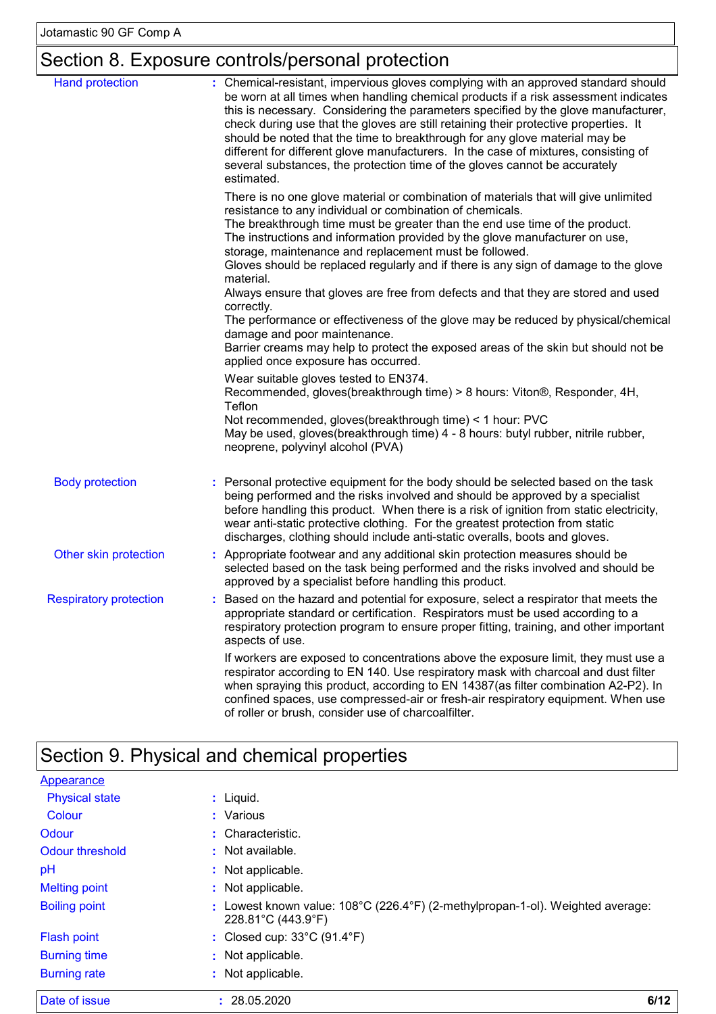# Section 8. Exposure controls/personal protection

| <b>Hand protection</b>        | : Chemical-resistant, impervious gloves complying with an approved standard should<br>be worn at all times when handling chemical products if a risk assessment indicates<br>this is necessary. Considering the parameters specified by the glove manufacturer,<br>check during use that the gloves are still retaining their protective properties. It<br>should be noted that the time to breakthrough for any glove material may be<br>different for different glove manufacturers. In the case of mixtures, consisting of<br>several substances, the protection time of the gloves cannot be accurately<br>estimated. |
|-------------------------------|---------------------------------------------------------------------------------------------------------------------------------------------------------------------------------------------------------------------------------------------------------------------------------------------------------------------------------------------------------------------------------------------------------------------------------------------------------------------------------------------------------------------------------------------------------------------------------------------------------------------------|
|                               | There is no one glove material or combination of materials that will give unlimited<br>resistance to any individual or combination of chemicals.<br>The breakthrough time must be greater than the end use time of the product.<br>The instructions and information provided by the glove manufacturer on use,<br>storage, maintenance and replacement must be followed.<br>Gloves should be replaced regularly and if there is any sign of damage to the glove                                                                                                                                                           |
|                               | material.<br>Always ensure that gloves are free from defects and that they are stored and used<br>correctly.<br>The performance or effectiveness of the glove may be reduced by physical/chemical<br>damage and poor maintenance.<br>Barrier creams may help to protect the exposed areas of the skin but should not be                                                                                                                                                                                                                                                                                                   |
|                               | applied once exposure has occurred.<br>Wear suitable gloves tested to EN374.<br>Recommended, gloves(breakthrough time) > 8 hours: Viton®, Responder, 4H,<br>Teflon<br>Not recommended, gloves(breakthrough time) < 1 hour: PVC<br>May be used, gloves(breakthrough time) 4 - 8 hours: butyl rubber, nitrile rubber,<br>neoprene, polyvinyl alcohol (PVA)                                                                                                                                                                                                                                                                  |
| <b>Body protection</b>        | Personal protective equipment for the body should be selected based on the task<br>being performed and the risks involved and should be approved by a specialist<br>before handling this product. When there is a risk of ignition from static electricity,<br>wear anti-static protective clothing. For the greatest protection from static<br>discharges, clothing should include anti-static overalls, boots and gloves.                                                                                                                                                                                               |
| Other skin protection         | : Appropriate footwear and any additional skin protection measures should be<br>selected based on the task being performed and the risks involved and should be<br>approved by a specialist before handling this product.                                                                                                                                                                                                                                                                                                                                                                                                 |
| <b>Respiratory protection</b> | Based on the hazard and potential for exposure, select a respirator that meets the<br>appropriate standard or certification. Respirators must be used according to a<br>respiratory protection program to ensure proper fitting, training, and other important<br>aspects of use.                                                                                                                                                                                                                                                                                                                                         |
|                               | If workers are exposed to concentrations above the exposure limit, they must use a<br>respirator according to EN 140. Use respiratory mask with charcoal and dust filter<br>when spraying this product, according to EN 14387(as filter combination A2-P2). In<br>confined spaces, use compressed-air or fresh-air respiratory equipment. When use<br>of roller or brush, consider use of charcoalfilter.                                                                                                                                                                                                                 |

# Section 9. Physical and chemical properties

| Date of issue         | 6/12<br>: 28.05.2020                                                                                                      |
|-----------------------|---------------------------------------------------------------------------------------------------------------------------|
| <b>Burning rate</b>   | : Not applicable.                                                                                                         |
| <b>Burning time</b>   | : Not applicable.                                                                                                         |
| <b>Flash point</b>    | : Closed cup: $33^{\circ}$ C (91.4 $^{\circ}$ F)                                                                          |
| <b>Boiling point</b>  | : Lowest known value: $108^{\circ}$ C (226.4 $^{\circ}$ F) (2-methylpropan-1-ol). Weighted average:<br>228.81°C (443.9°F) |
| <b>Melting point</b>  | : Not applicable.                                                                                                         |
| pH                    | : Not applicable.                                                                                                         |
| Odour threshold       | : Not available.                                                                                                          |
| Odour                 | : Characteristic.                                                                                                         |
| Colour                | : Various                                                                                                                 |
| <b>Physical state</b> | $:$ Liquid.                                                                                                               |
| Appearance            |                                                                                                                           |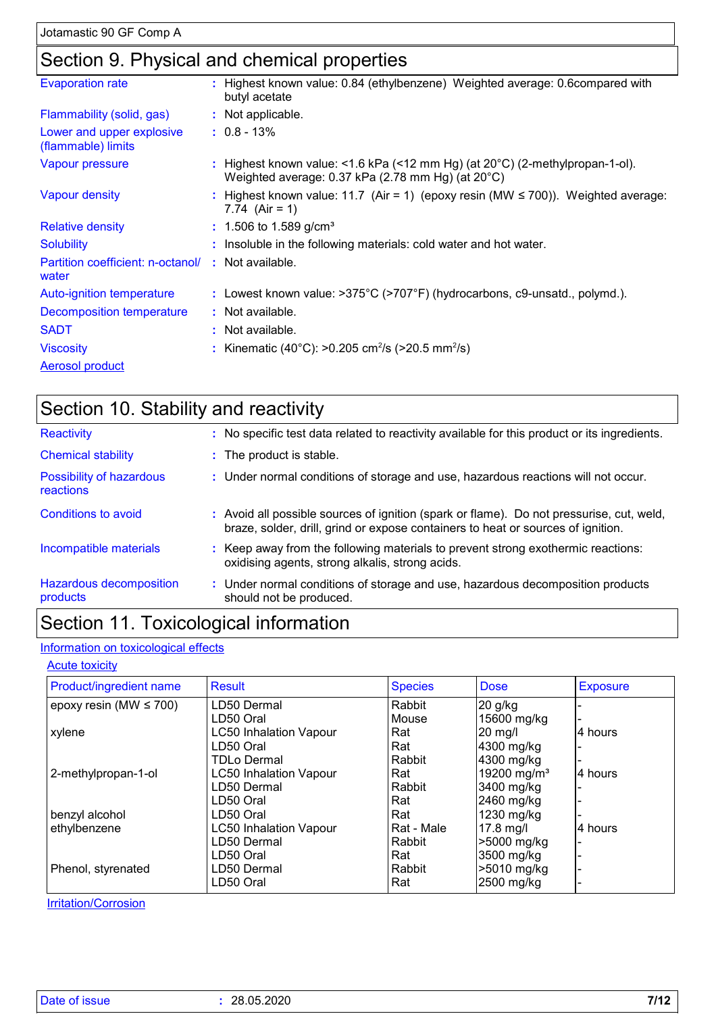### Section 9. Physical and chemical properties

| <b>Evaporation rate</b>                         | : Highest known value: 0.84 (ethylbenzene) Weighted average: 0.6compared with<br>butyl acetate                                              |
|-------------------------------------------------|---------------------------------------------------------------------------------------------------------------------------------------------|
| Flammability (solid, gas)                       | : Not applicable.                                                                                                                           |
| Lower and upper explosive<br>(flammable) limits | $: 0.8 - 13\%$                                                                                                                              |
| Vapour pressure                                 | : Highest known value: <1.6 kPa (<12 mm Hg) (at $20^{\circ}$ C) (2-methylpropan-1-ol).<br>Weighted average: 0.37 kPa (2.78 mm Hg) (at 20°C) |
| <b>Vapour density</b>                           | : Highest known value: 11.7 (Air = 1) (epoxy resin (MW $\leq$ 700)). Weighted average:<br>7.74 $(Air = 1)$                                  |
| <b>Relative density</b>                         | $: 1.506$ to 1.589 g/cm <sup>3</sup>                                                                                                        |
| <b>Solubility</b>                               | : Insoluble in the following materials: cold water and hot water.                                                                           |
| Partition coefficient: n-octanol/<br>water      | : Not available.                                                                                                                            |
| Auto-ignition temperature                       | : Lowest known value: >375°C (>707°F) (hydrocarbons, c9-unsatd., polymd.).                                                                  |
| Decomposition temperature                       | : Not available.                                                                                                                            |
| <b>SADT</b>                                     | : Not available.                                                                                                                            |
| <b>Viscosity</b>                                | : Kinematic (40°C): >0.205 cm <sup>2</sup> /s (>20.5 mm <sup>2</sup> /s)                                                                    |
| Aerosol product                                 |                                                                                                                                             |

| Section 10. Stability and reactivity  |                                                                                                                                                                              |  |  |
|---------------------------------------|------------------------------------------------------------------------------------------------------------------------------------------------------------------------------|--|--|
| Reactivity                            | : No specific test data related to reactivity available for this product or its ingredients.                                                                                 |  |  |
| <b>Chemical stability</b>             | : The product is stable.                                                                                                                                                     |  |  |
| Possibility of hazardous<br>reactions | : Under normal conditions of storage and use, hazardous reactions will not occur.                                                                                            |  |  |
| Conditions to avoid                   | : Avoid all possible sources of ignition (spark or flame). Do not pressurise, cut, weld,<br>braze, solder, drill, grind or expose containers to heat or sources of ignition. |  |  |
| Incompatible materials                | : Keep away from the following materials to prevent strong exothermic reactions:<br>oxidising agents, strong alkalis, strong acids.                                          |  |  |
| Hazardous decomposition<br>products   | : Under normal conditions of storage and use, hazardous decomposition products<br>should not be produced.                                                                    |  |  |

### Section 11. Toxicological information

#### Information on toxicological effects

#### **Acute toxicity**

| Product/ingredient name     | <b>Result</b>                 | <b>Species</b> | <b>Dose</b>             | <b>Exposure</b> |
|-----------------------------|-------------------------------|----------------|-------------------------|-----------------|
| epoxy resin (MW $\leq$ 700) | LD50 Dermal                   | Rabbit         | 20 g/kg                 |                 |
|                             | LD50 Oral                     | Mouse          | 15600 mg/kg             |                 |
| xylene                      | <b>LC50 Inhalation Vapour</b> | Rat            | 20 mg/l                 | 4 hours         |
|                             | LD50 Oral                     | Rat            | 4300 mg/kg              |                 |
|                             | <b>TDLo Dermal</b>            | Rabbit         | 4300 mg/kg              |                 |
| 2-methylpropan-1-ol         | <b>LC50 Inhalation Vapour</b> | Rat            | 19200 mg/m <sup>3</sup> | l4 hours        |
|                             | LD50 Dermal                   | Rabbit         | 3400 mg/kg              |                 |
|                             | LD50 Oral                     | Rat            | 2460 mg/kg              |                 |
| benzyl alcohol              | LD50 Oral                     | Rat            | 1230 mg/kg              |                 |
| ethylbenzene                | <b>LC50 Inhalation Vapour</b> | Rat - Male     | $17.8$ mg/l             | 4 hours         |
|                             | LD50 Dermal                   | Rabbit         | >5000 mg/kg             |                 |
|                             | LD50 Oral                     | Rat            | 3500 mg/kg              |                 |
| Phenol, styrenated          | LD50 Dermal                   | Rabbit         | >5010 mg/kg             |                 |
|                             | LD50 Oral                     | Rat            | 2500 mg/kg              |                 |

**Irritation/Corrosion**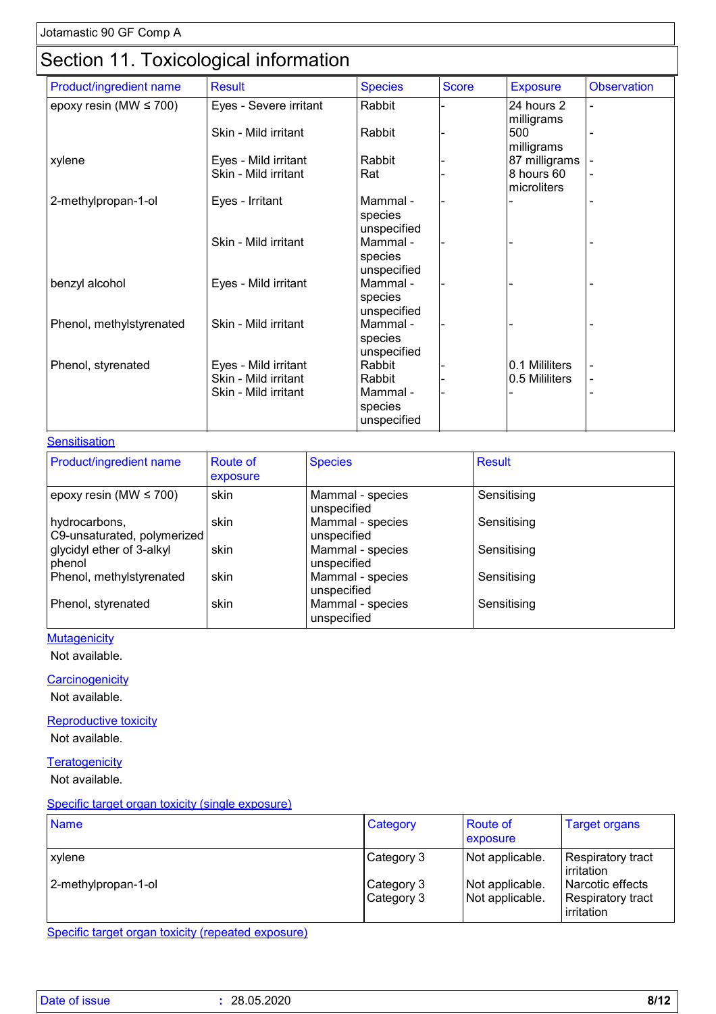### Section 11. Toxicological information

|                             | ັ                      |                        |              |                 |                          |
|-----------------------------|------------------------|------------------------|--------------|-----------------|--------------------------|
| Product/ingredient name     | <b>Result</b>          | <b>Species</b>         | <b>Score</b> | <b>Exposure</b> | <b>Observation</b>       |
| epoxy resin (MW $\leq$ 700) | Eyes - Severe irritant | Rabbit                 |              | 24 hours 2      |                          |
|                             |                        |                        |              | milligrams      |                          |
|                             | Skin - Mild irritant   | Rabbit                 |              | 500             |                          |
|                             |                        |                        |              | milligrams      |                          |
| xylene                      | Eyes - Mild irritant   | Rabbit                 |              | 87 milligrams   |                          |
|                             | Skin - Mild irritant   | Rat                    |              | 8 hours 60      |                          |
|                             |                        |                        |              | microliters     |                          |
| 2-methylpropan-1-ol         | Eyes - Irritant        | Mammal -               |              |                 |                          |
|                             |                        | species                |              |                 |                          |
|                             |                        | unspecified            |              |                 |                          |
|                             | Skin - Mild irritant   | Mammal -               |              |                 |                          |
|                             |                        | species                |              |                 |                          |
|                             |                        | unspecified            |              |                 |                          |
| benzyl alcohol              | Eyes - Mild irritant   | Mammal -               |              |                 |                          |
|                             |                        | species                |              |                 |                          |
|                             |                        | unspecified            |              |                 |                          |
| Phenol, methylstyrenated    | Skin - Mild irritant   | Mammal -               |              |                 |                          |
|                             |                        | species<br>unspecified |              |                 |                          |
| Phenol, styrenated          | Eyes - Mild irritant   | Rabbit                 |              | 0.1 Mililiters  |                          |
|                             | Skin - Mild irritant   | Rabbit                 |              | 0.5 Mililiters  | $\overline{\phantom{a}}$ |
|                             | Skin - Mild irritant   | Mammal -               |              |                 |                          |
|                             |                        | species                |              |                 |                          |
|                             |                        | unspecified            |              |                 |                          |
|                             |                        |                        |              |                 |                          |

#### **Sensitisation**

| <b>Product/ingredient name</b>               | <b>Route of</b><br>exposure | <b>Species</b>                  | <b>Result</b> |
|----------------------------------------------|-----------------------------|---------------------------------|---------------|
| epoxy resin (MW $\leq$ 700)                  | skin                        | Mammal - species<br>unspecified | Sensitising   |
| hydrocarbons,<br>C9-unsaturated, polymerized | skin                        | Mammal - species<br>unspecified | Sensitising   |
| glycidyl ether of 3-alkyl<br>phenol          | skin                        | Mammal - species<br>unspecified | Sensitising   |
| Phenol, methylstyrenated                     | skin                        | Mammal - species<br>unspecified | Sensitising   |
| Phenol, styrenated                           | skin                        | Mammal - species<br>unspecified | Sensitising   |

#### **Mutagenicity**

Not available.

#### **Carcinogenicity**

Not available.

#### **Reproductive toxicity**

Not available.

#### **Teratogenicity**

Not available.

#### Specific target organ toxicity (single exposure)

| <b>Name</b>                   | Category                               | <b>Route of</b><br>exposure                           | <b>Target organs</b>                                                                   |
|-------------------------------|----------------------------------------|-------------------------------------------------------|----------------------------------------------------------------------------------------|
| xylene<br>2-methylpropan-1-ol | Category 3<br>Category 3<br>Category 3 | Not applicable.<br>Not applicable.<br>Not applicable. | Respiratory tract<br>irritation<br>Narcotic effects<br>Respiratory tract<br>irritation |

Specific target organ toxicity (repeated exposure)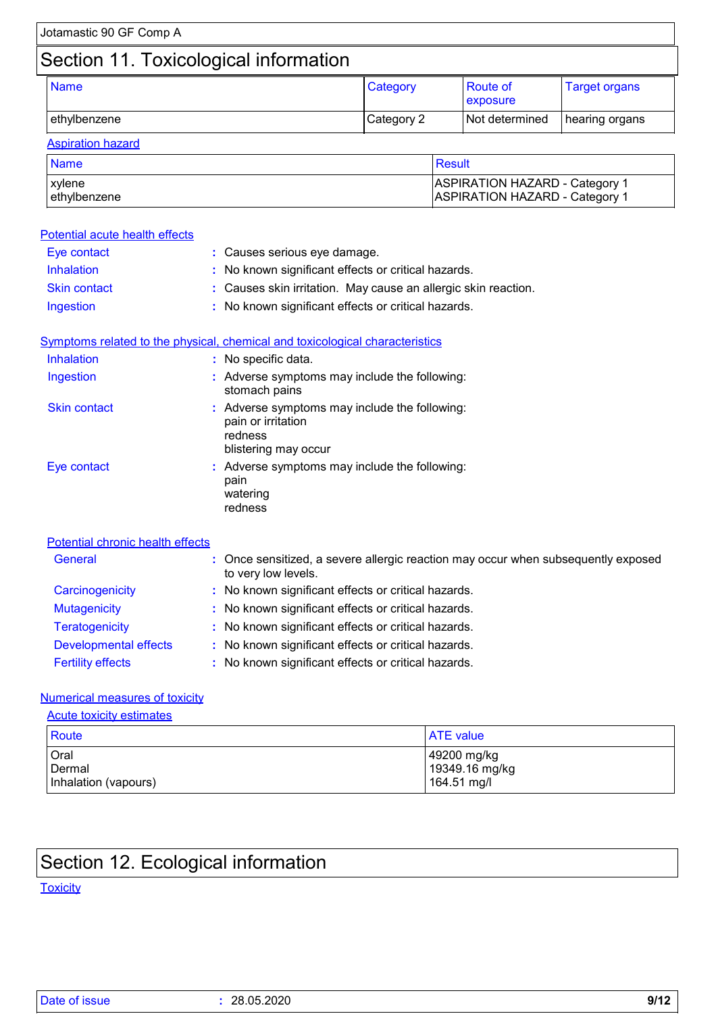#### **Aspiration hazard** Name Result and the control of the control of the control of the control  $\sim$  Result and  $\sim$ xylene ASPIRATION HAZARD - Category 1 ethylbenzene ASPIRATION HAZARD - Category 1

| Potential acute health effects   |                                                                                                        |
|----------------------------------|--------------------------------------------------------------------------------------------------------|
| Eye contact                      | : Causes serious eye damage.                                                                           |
| Inhalation                       | No known significant effects or critical hazards.                                                      |
| <b>Skin contact</b>              | Causes skin irritation. May cause an allergic skin reaction.                                           |
| Ingestion                        | No known significant effects or critical hazards.                                                      |
|                                  | Symptoms related to the physical, chemical and toxicological characteristics                           |
| Inhalation                       | : No specific data.                                                                                    |
| Ingestion                        | : Adverse symptoms may include the following:<br>stomach pains                                         |
| <b>Skin contact</b>              | : Adverse symptoms may include the following:<br>pain or irritation<br>redness<br>blistering may occur |
| Eye contact                      | : Adverse symptoms may include the following:<br>pain<br>watering<br>redness                           |
| Potential chronic health effects |                                                                                                        |
| General                          | Once sensitized, a severe allergic reaction may occur when subsequently exposed<br>to very low levels. |
| Carcinogenicity                  | : No known significant effects or critical hazards.                                                    |
| <b>Mutagenicity</b>              | No known significant effects or critical hazards.                                                      |
| <b>Teratogenicity</b>            | No known significant effects or critical hazards.                                                      |
| <b>Developmental effects</b>     | No known significant effects or critical hazards.                                                      |
| <b>Fertility effects</b>         | No known significant effects or critical hazards.                                                      |

#### Numerical measures of toxicity

| <b>Acute toxicity estimates</b>        |                                              |
|----------------------------------------|----------------------------------------------|
| <b>Route</b><br><b>ATE</b> value       |                                              |
| Oral<br>Dermal<br>Inhalation (vapours) | 49200 mg/kg<br>19349.16 mg/kg<br>164.51 mg/l |

### Section 12. Ecological information

#### **Toxicity**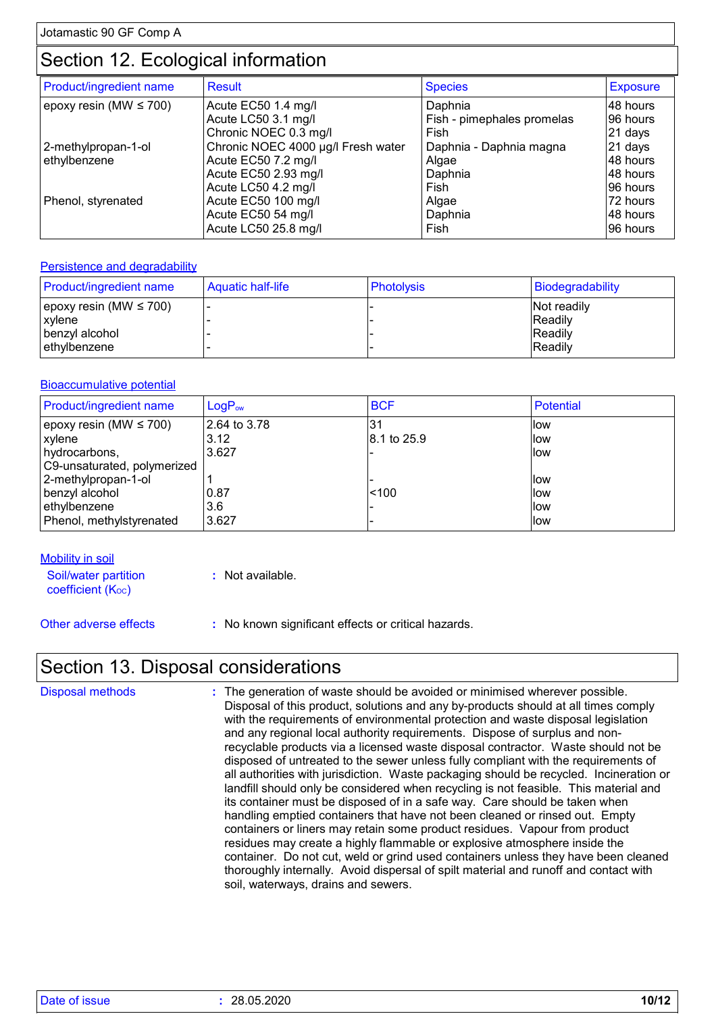### Section 12. Ecological information

| Product/ingredient name     | <b>Result</b>                      | <b>Species</b>             | <b>Exposure</b> |
|-----------------------------|------------------------------------|----------------------------|-----------------|
| epoxy resin (MW $\leq$ 700) | Acute EC50 1.4 mg/l                | Daphnia                    | 48 hours        |
|                             | Acute LC50 3.1 mg/l                | Fish - pimephales promelas | 96 hours        |
|                             | Chronic NOEC 0.3 mg/l              | Fish                       | 21 days         |
| 2-methylpropan-1-ol         | Chronic NOEC 4000 µg/l Fresh water | Daphnia - Daphnia magna    | 21 days         |
| ethylbenzene                | Acute EC50 7.2 mg/l                | Algae                      | 48 hours        |
|                             | Acute EC50 2.93 mg/l               | Daphnia                    | 48 hours        |
|                             | Acute LC50 4.2 mg/l                | Fish                       | 96 hours        |
| Phenol, styrenated          | Acute EC50 100 mg/l                | Algae                      | 72 hours        |
|                             | Acute EC50 54 mg/l                 | Daphnia                    | 48 hours        |
|                             | Acute LC50 25.8 mg/l               | Fish                       | 96 hours        |

#### **Persistence and degradability**

| <b>Product/ingredient name</b>                                            | Aquatic half-life | <b>Photolysis</b> | Biodegradability                                             |
|---------------------------------------------------------------------------|-------------------|-------------------|--------------------------------------------------------------|
| epoxy resin (MW $\leq 700$ )<br>xylene<br>benzyl alcohol<br>lethvlbenzene |                   |                   | Not readily<br><b>IReadily</b><br><b>IReadily</b><br>Readily |

#### Bioaccumulative potential

| Product/ingredient name     | LogP <sub>ow</sub> | <b>BCF</b>  | Potential |
|-----------------------------|--------------------|-------------|-----------|
| epoxy resin (MW $\leq$ 700) | 2.64 to 3.78       | .31         | low       |
| xylene                      | 3.12               | 8.1 to 25.9 | llow      |
| hydrocarbons,               | 3.627              |             | llow      |
| C9-unsaturated, polymerized |                    |             |           |
| 2-methylpropan-1-ol         |                    |             | llow      |
| benzyl alcohol              | 0.87               | < 100       | llow      |
| ethylbenzene                | 3.6                |             | llow      |
| Phenol, methylstyrenated    | 3.627              |             | llow      |

**Mobility in soil** 

Soil/water partition  $coefficient (K<sub>oc</sub>)$ 

**:** Not available.

Other adverse effects **:** No known significant effects or critical hazards.

### Section 13. Disposal considerations

| <b>Disposal methods</b> | : The generation of waste should be avoided or minimised wherever possible.            |
|-------------------------|----------------------------------------------------------------------------------------|
|                         | Disposal of this product, solutions and any by-products should at all times comply     |
|                         | with the requirements of environmental protection and waste disposal legislation       |
|                         | and any regional local authority requirements. Dispose of surplus and non-             |
|                         | recyclable products via a licensed waste disposal contractor. Waste should not be      |
|                         | disposed of untreated to the sewer unless fully compliant with the requirements of     |
|                         | all authorities with jurisdiction. Waste packaging should be recycled. Incineration or |
|                         | landfill should only be considered when recycling is not feasible. This material and   |
|                         | its container must be disposed of in a safe way. Care should be taken when             |
|                         | handling emptied containers that have not been cleaned or rinsed out. Empty            |
|                         | containers or liners may retain some product residues. Vapour from product             |
|                         | residues may create a highly flammable or explosive atmosphere inside the              |
|                         | container. Do not cut, weld or grind used containers unless they have been cleaned     |
|                         | thoroughly internally. Avoid dispersal of spilt material and runoff and contact with   |
|                         | soil, waterways, drains and sewers.                                                    |
|                         |                                                                                        |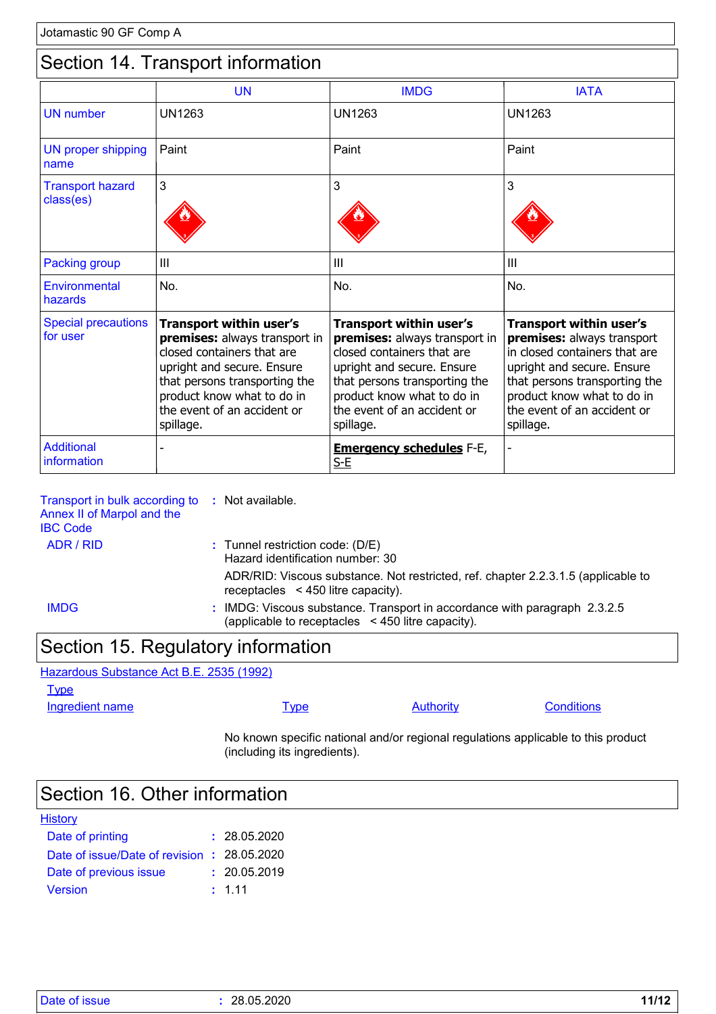### Section 14. Transport information

|                                        | <b>UN</b>                                                                                                                                                                                                                              | <b>IMDG</b>                                                                                                                                                                                                                     | <b>IATA</b>                                                                                                                                                                                                                     |
|----------------------------------------|----------------------------------------------------------------------------------------------------------------------------------------------------------------------------------------------------------------------------------------|---------------------------------------------------------------------------------------------------------------------------------------------------------------------------------------------------------------------------------|---------------------------------------------------------------------------------------------------------------------------------------------------------------------------------------------------------------------------------|
| <b>UN</b> number                       | <b>UN1263</b>                                                                                                                                                                                                                          | <b>UN1263</b>                                                                                                                                                                                                                   | <b>UN1263</b>                                                                                                                                                                                                                   |
| <b>UN proper shipping</b><br>name      | Paint                                                                                                                                                                                                                                  | Paint                                                                                                                                                                                                                           | Paint                                                                                                                                                                                                                           |
| <b>Transport hazard</b><br>class(es)   | 3                                                                                                                                                                                                                                      | 3                                                                                                                                                                                                                               | 3                                                                                                                                                                                                                               |
| <b>Packing group</b>                   | Ш                                                                                                                                                                                                                                      | Ш                                                                                                                                                                                                                               | Ш                                                                                                                                                                                                                               |
| Environmental<br>hazards               | No.                                                                                                                                                                                                                                    | No.                                                                                                                                                                                                                             | No.                                                                                                                                                                                                                             |
| <b>Special precautions</b><br>for user | <b>Transport within user's</b><br>premises: always transport in<br>closed containers that are<br>upright and secure. Ensure<br>that persons transporting the<br>product know what to do in<br>the event of an accident or<br>spillage. | Transport within user's<br>premises: always transport in<br>closed containers that are<br>upright and secure. Ensure<br>that persons transporting the<br>product know what to do in<br>the event of an accident or<br>spillage. | Transport within user's<br>premises: always transport<br>in closed containers that are<br>upright and secure. Ensure<br>that persons transporting the<br>product know what to do in<br>the event of an accident or<br>spillage. |
| <b>Additional</b><br>information       |                                                                                                                                                                                                                                        | <b>Emergency schedules F-E,</b><br>$S-E$                                                                                                                                                                                        |                                                                                                                                                                                                                                 |

| Transport in bulk according to<br>Annex II of Marpol and the<br><b>IBC Code</b> | : Not available.                                                                                                                    |
|---------------------------------------------------------------------------------|-------------------------------------------------------------------------------------------------------------------------------------|
| ADR / RID                                                                       | $:$ Tunnel restriction code: (D/E)<br>Hazard identification number: 30                                                              |
|                                                                                 | ADR/RID: Viscous substance. Not restricted, ref. chapter 2.2.3.1.5 (applicable to<br>receptacles $\leq$ 450 litre capacity).        |
| <b>IMDG</b>                                                                     | : IMDG: Viscous substance. Transport in accordance with paragraph 2.3.2.5<br>(applicable to receptacles $\leq$ 450 litre capacity). |
|                                                                                 |                                                                                                                                     |

### Section 15. Regulatory information

Hazardous Substance Act B.E. 2535 (1992)

**Type** 

Ingredient name **IVPE** Type Authority Conditions

No known specific national and/or regional regulations applicable to this product (including its ingredients).

### Section 16. Other information

| <b>History</b>                              |              |
|---------------------------------------------|--------------|
| Date of printing                            | : 28.05.2020 |
| Date of issue/Date of revision : 28.05.2020 |              |
| Date of previous issue                      | : 20.05.2019 |
| <b>Version</b>                              | : 1.11       |

|  | Date of issue |  |
|--|---------------|--|
|  |               |  |